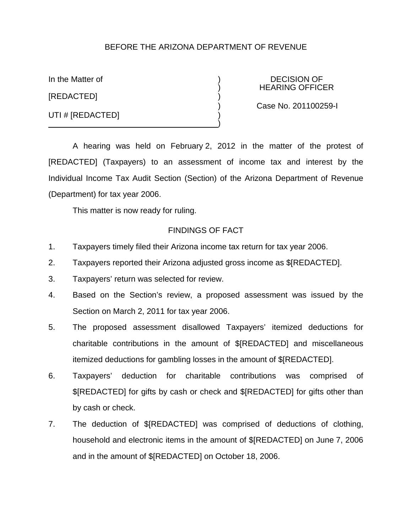# BEFORE THE ARIZONA DEPARTMENT OF REVENUE

[REDACTED] )

UTI # [REDACTED]

In the Matter of  $\overline{)}$  DECISION OF ) HEARING OFFICER

) Case No. 201100259-I

A hearing was held on February 2, 2012 in the matter of the protest of [REDACTED] (Taxpayers) to an assessment of income tax and interest by the Individual Income Tax Audit Section (Section) of the Arizona Department of Revenue (Department) for tax year 2006.

)

This matter is now ready for ruling.

### FINDINGS OF FACT

- 1. Taxpayers timely filed their Arizona income tax return for tax year 2006.
- 2. Taxpayers reported their Arizona adjusted gross income as \$[REDACTED].
- 3. Taxpayers' return was selected for review.
- 4. Based on the Section's review, a proposed assessment was issued by the Section on March 2, 2011 for tax year 2006.
- 5. The proposed assessment disallowed Taxpayers' itemized deductions for charitable contributions in the amount of \$[REDACTED] and miscellaneous itemized deductions for gambling losses in the amount of \$[REDACTED].
- 6. Taxpayers' deduction for charitable contributions was comprised of \$[REDACTED] for gifts by cash or check and \$[REDACTED] for gifts other than by cash or check.
- 7. The deduction of \$[REDACTED] was comprised of deductions of clothing, household and electronic items in the amount of \$[REDACTED] on June 7, 2006 and in the amount of \$[REDACTED] on October 18, 2006.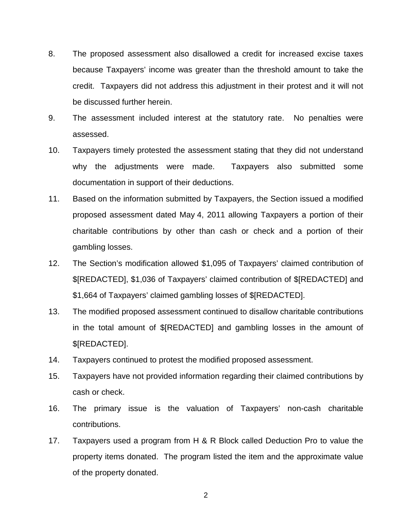- 8. The proposed assessment also disallowed a credit for increased excise taxes because Taxpayers' income was greater than the threshold amount to take the credit. Taxpayers did not address this adjustment in their protest and it will not be discussed further herein.
- 9. The assessment included interest at the statutory rate. No penalties were assessed.
- 10. Taxpayers timely protested the assessment stating that they did not understand why the adjustments were made. Taxpayers also submitted some documentation in support of their deductions.
- 11. Based on the information submitted by Taxpayers, the Section issued a modified proposed assessment dated May 4, 2011 allowing Taxpayers a portion of their charitable contributions by other than cash or check and a portion of their gambling losses.
- 12. The Section's modification allowed \$1,095 of Taxpayers' claimed contribution of \$[REDACTED], \$1,036 of Taxpayers' claimed contribution of \$[REDACTED] and \$1,664 of Taxpayers' claimed gambling losses of \$[REDACTED].
- 13. The modified proposed assessment continued to disallow charitable contributions in the total amount of \$[REDACTED] and gambling losses in the amount of \$[REDACTED].
- 14. Taxpayers continued to protest the modified proposed assessment.
- 15. Taxpayers have not provided information regarding their claimed contributions by cash or check.
- 16. The primary issue is the valuation of Taxpayers' non-cash charitable contributions.
- 17. Taxpayers used a program from H & R Block called Deduction Pro to value the property items donated. The program listed the item and the approximate value of the property donated.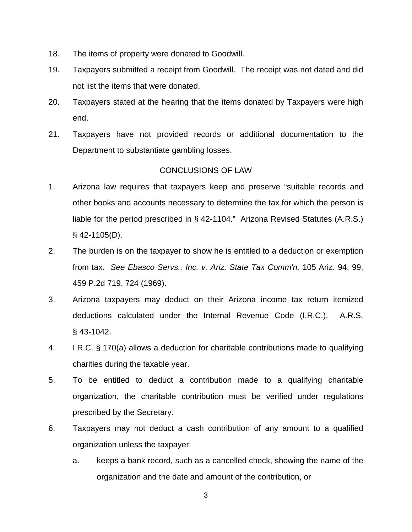- 18. The items of property were donated to Goodwill.
- 19. Taxpayers submitted a receipt from Goodwill. The receipt was not dated and did not list the items that were donated.
- 20. Taxpayers stated at the hearing that the items donated by Taxpayers were high end.
- 21. Taxpayers have not provided records or additional documentation to the Department to substantiate gambling losses.

# CONCLUSIONS OF LAW

- 1. Arizona law requires that taxpayers keep and preserve "suitable records and other books and accounts necessary to determine the tax for which the person is liable for the period prescribed in § 42-1104." Arizona Revised Statutes (A.R.S.)  $§$  42-1105(D).
- 2. The burden is on the taxpayer to show he is entitled to a deduction or exemption from tax. *See Ebasco Servs., Inc. v. Ariz. State Tax Comm'n,* 105 Ariz. 94, 99, 459 P.2d 719, 724 (1969).
- 3. Arizona taxpayers may deduct on their Arizona income tax return itemized deductions calculated under the Internal Revenue Code (I.R.C.). A.R.S. § 43-1042.
- 4. I.R.C. § 170(a) allows a deduction for charitable contributions made to qualifying charities during the taxable year.
- 5. To be entitled to deduct a contribution made to a qualifying charitable organization, the charitable contribution must be verified under regulations prescribed by the Secretary.
- 6. Taxpayers may not deduct a cash contribution of any amount to a qualified organization unless the taxpayer:
	- a. keeps a bank record, such as a cancelled check, showing the name of the organization and the date and amount of the contribution, or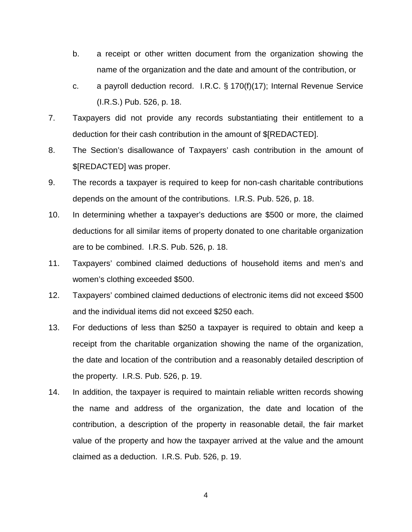- b. a receipt or other written document from the organization showing the name of the organization and the date and amount of the contribution, or
- c. a payroll deduction record. I.R.C. § 170(f)(17); Internal Revenue Service (I.R.S.) Pub. 526, p. 18.
- 7. Taxpayers did not provide any records substantiating their entitlement to a deduction for their cash contribution in the amount of \$[REDACTED].
- 8. The Section's disallowance of Taxpayers' cash contribution in the amount of \$[REDACTED] was proper.
- 9. The records a taxpayer is required to keep for non-cash charitable contributions depends on the amount of the contributions. I.R.S. Pub. 526, p. 18.
- 10. In determining whether a taxpayer's deductions are \$500 or more, the claimed deductions for all similar items of property donated to one charitable organization are to be combined. I.R.S. Pub. 526, p. 18.
- 11. Taxpayers' combined claimed deductions of household items and men's and women's clothing exceeded \$500.
- 12. Taxpayers' combined claimed deductions of electronic items did not exceed \$500 and the individual items did not exceed \$250 each.
- 13. For deductions of less than \$250 a taxpayer is required to obtain and keep a receipt from the charitable organization showing the name of the organization, the date and location of the contribution and a reasonably detailed description of the property. I.R.S. Pub. 526, p. 19.
- 14. In addition, the taxpayer is required to maintain reliable written records showing the name and address of the organization, the date and location of the contribution, a description of the property in reasonable detail, the fair market value of the property and how the taxpayer arrived at the value and the amount claimed as a deduction. I.R.S. Pub. 526, p. 19.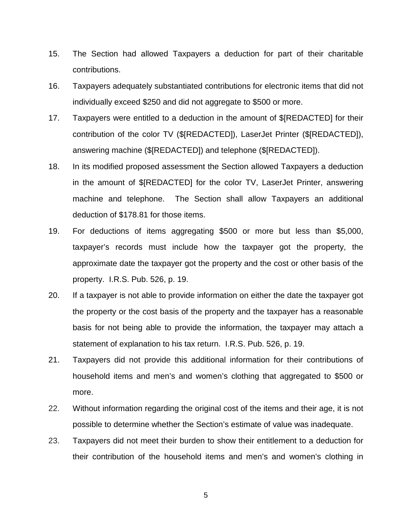- 15. The Section had allowed Taxpayers a deduction for part of their charitable contributions.
- 16. Taxpayers adequately substantiated contributions for electronic items that did not individually exceed \$250 and did not aggregate to \$500 or more.
- 17. Taxpayers were entitled to a deduction in the amount of \$[REDACTED] for their contribution of the color TV (\$[REDACTED]), LaserJet Printer (\$[REDACTED]), answering machine (\$[REDACTED]) and telephone (\$[REDACTED]).
- 18. In its modified proposed assessment the Section allowed Taxpayers a deduction in the amount of \$[REDACTED] for the color TV, LaserJet Printer, answering machine and telephone. The Section shall allow Taxpayers an additional deduction of \$178.81 for those items.
- 19. For deductions of items aggregating \$500 or more but less than \$5,000, taxpayer's records must include how the taxpayer got the property, the approximate date the taxpayer got the property and the cost or other basis of the property. I.R.S. Pub. 526, p. 19.
- 20. If a taxpayer is not able to provide information on either the date the taxpayer got the property or the cost basis of the property and the taxpayer has a reasonable basis for not being able to provide the information, the taxpayer may attach a statement of explanation to his tax return. I.R.S. Pub. 526, p. 19.
- 21. Taxpayers did not provide this additional information for their contributions of household items and men's and women's clothing that aggregated to \$500 or more.
- 22. Without information regarding the original cost of the items and their age, it is not possible to determine whether the Section's estimate of value was inadequate.
- 23. Taxpayers did not meet their burden to show their entitlement to a deduction for their contribution of the household items and men's and women's clothing in

5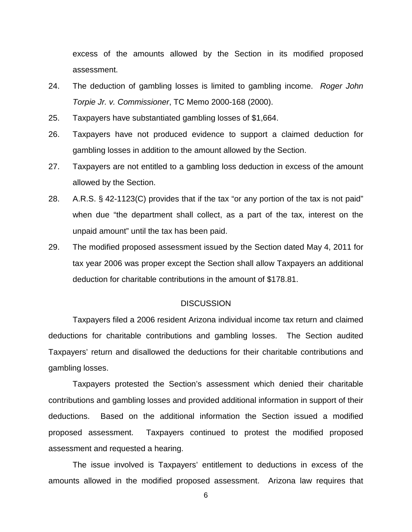excess of the amounts allowed by the Section in its modified proposed assessment.

- 24. The deduction of gambling losses is limited to gambling income. *Roger John Torpie Jr. v. Commissioner*, TC Memo 2000-168 (2000).
- 25. Taxpayers have substantiated gambling losses of \$1,664.
- 26. Taxpayers have not produced evidence to support a claimed deduction for gambling losses in addition to the amount allowed by the Section.
- 27. Taxpayers are not entitled to a gambling loss deduction in excess of the amount allowed by the Section.
- 28. A.R.S. § 42-1123(C) provides that if the tax "or any portion of the tax is not paid" when due "the department shall collect, as a part of the tax, interest on the unpaid amount" until the tax has been paid.
- 29. The modified proposed assessment issued by the Section dated May 4, 2011 for tax year 2006 was proper except the Section shall allow Taxpayers an additional deduction for charitable contributions in the amount of \$178.81.

### **DISCUSSION**

Taxpayers filed a 2006 resident Arizona individual income tax return and claimed deductions for charitable contributions and gambling losses. The Section audited Taxpayers' return and disallowed the deductions for their charitable contributions and gambling losses.

Taxpayers protested the Section's assessment which denied their charitable contributions and gambling losses and provided additional information in support of their deductions. Based on the additional information the Section issued a modified proposed assessment. Taxpayers continued to protest the modified proposed assessment and requested a hearing.

The issue involved is Taxpayers' entitlement to deductions in excess of the amounts allowed in the modified proposed assessment. Arizona law requires that

6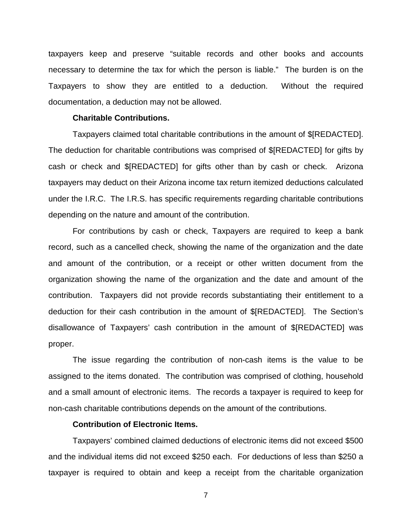taxpayers keep and preserve "suitable records and other books and accounts necessary to determine the tax for which the person is liable." The burden is on the Taxpayers to show they are entitled to a deduction. Without the required documentation, a deduction may not be allowed.

### **Charitable Contributions.**

Taxpayers claimed total charitable contributions in the amount of \$[REDACTED]. The deduction for charitable contributions was comprised of \$[REDACTED] for gifts by cash or check and \$[REDACTED] for gifts other than by cash or check. Arizona taxpayers may deduct on their Arizona income tax return itemized deductions calculated under the I.R.C. The I.R.S. has specific requirements regarding charitable contributions depending on the nature and amount of the contribution.

For contributions by cash or check, Taxpayers are required to keep a bank record, such as a cancelled check, showing the name of the organization and the date and amount of the contribution, or a receipt or other written document from the organization showing the name of the organization and the date and amount of the contribution. Taxpayers did not provide records substantiating their entitlement to a deduction for their cash contribution in the amount of \$[REDACTED]. The Section's disallowance of Taxpayers' cash contribution in the amount of \$[REDACTED] was proper.

The issue regarding the contribution of non-cash items is the value to be assigned to the items donated. The contribution was comprised of clothing, household and a small amount of electronic items. The records a taxpayer is required to keep for non-cash charitable contributions depends on the amount of the contributions.

### **Contribution of Electronic Items.**

Taxpayers' combined claimed deductions of electronic items did not exceed \$500 and the individual items did not exceed \$250 each. For deductions of less than \$250 a taxpayer is required to obtain and keep a receipt from the charitable organization

7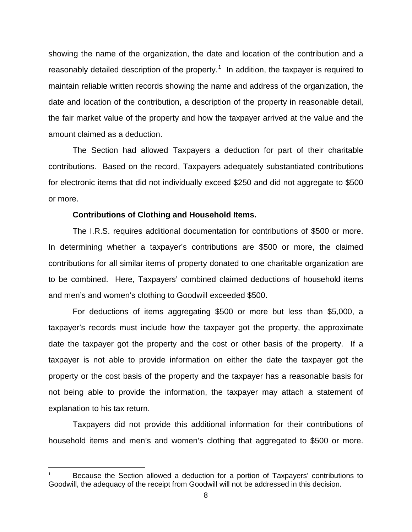showing the name of the organization, the date and location of the contribution and a reasonably detailed description of the property.<sup>[1](#page-7-0)</sup> In addition, the taxpayer is required to maintain reliable written records showing the name and address of the organization, the date and location of the contribution, a description of the property in reasonable detail, the fair market value of the property and how the taxpayer arrived at the value and the amount claimed as a deduction.

The Section had allowed Taxpayers a deduction for part of their charitable contributions. Based on the record, Taxpayers adequately substantiated contributions for electronic items that did not individually exceed \$250 and did not aggregate to \$500 or more.

#### **Contributions of Clothing and Household Items.**

The I.R.S. requires additional documentation for contributions of \$500 or more. In determining whether a taxpayer's contributions are \$500 or more, the claimed contributions for all similar items of property donated to one charitable organization are to be combined. Here, Taxpayers' combined claimed deductions of household items and men's and women's clothing to Goodwill exceeded \$500.

For deductions of items aggregating \$500 or more but less than \$5,000, a taxpayer's records must include how the taxpayer got the property, the approximate date the taxpayer got the property and the cost or other basis of the property. If a taxpayer is not able to provide information on either the date the taxpayer got the property or the cost basis of the property and the taxpayer has a reasonable basis for not being able to provide the information, the taxpayer may attach a statement of explanation to his tax return.

Taxpayers did not provide this additional information for their contributions of household items and men's and women's clothing that aggregated to \$500 or more.

<span id="page-7-0"></span>Because the Section allowed a deduction for a portion of Taxpayers' contributions to Goodwill, the adequacy of the receipt from Goodwill will not be addressed in this decision.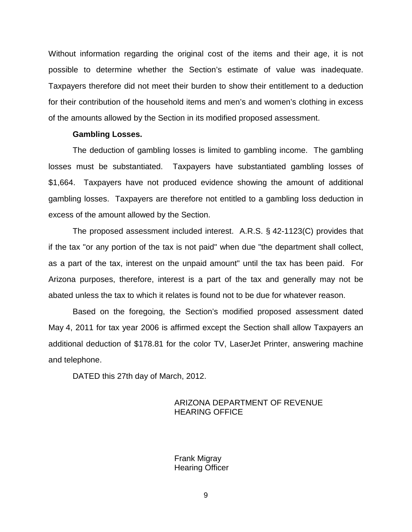Without information regarding the original cost of the items and their age, it is not possible to determine whether the Section's estimate of value was inadequate. Taxpayers therefore did not meet their burden to show their entitlement to a deduction for their contribution of the household items and men's and women's clothing in excess of the amounts allowed by the Section in its modified proposed assessment.

#### **Gambling Losses.**

The deduction of gambling losses is limited to gambling income. The gambling losses must be substantiated. Taxpayers have substantiated gambling losses of \$1,664. Taxpayers have not produced evidence showing the amount of additional gambling losses. Taxpayers are therefore not entitled to a gambling loss deduction in excess of the amount allowed by the Section.

The proposed assessment included interest. A.R.S. § 42-1123(C) provides that if the tax "or any portion of the tax is not paid" when due "the department shall collect, as a part of the tax, interest on the unpaid amount" until the tax has been paid. For Arizona purposes, therefore, interest is a part of the tax and generally may not be abated unless the tax to which it relates is found not to be due for whatever reason.

Based on the foregoing, the Section's modified proposed assessment dated May 4, 2011 for tax year 2006 is affirmed except the Section shall allow Taxpayers an additional deduction of \$178.81 for the color TV, LaserJet Printer, answering machine and telephone.

DATED this 27th day of March, 2012.

# ARIZONA DEPARTMENT OF REVENUE HEARING OFFICE

Frank Migray Hearing Officer